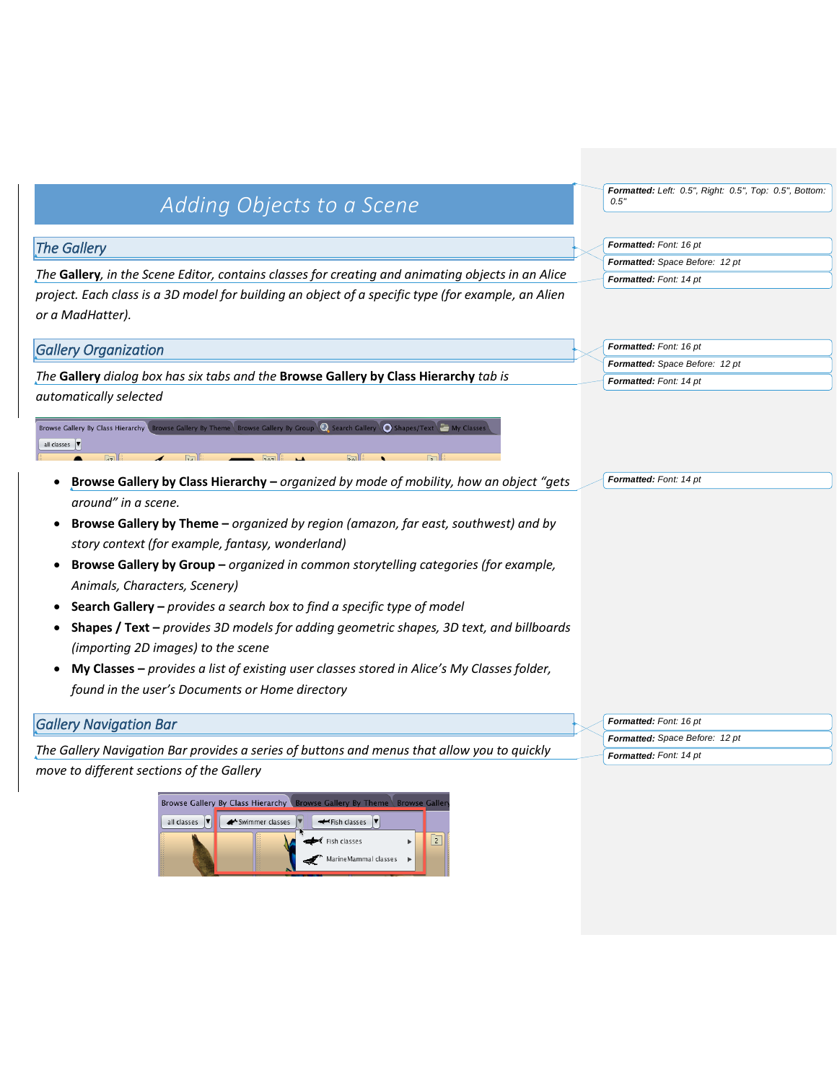# *Adding Objects to a Scene*

## *The Gallery*

*The* **Gallery***, in the Scene Editor, contains classes for creating and animating objects in an Alice project. Each class is a 3D model for building an object of a specific type (for example, an Alien or a MadHatter).*

### *Gallery Organization*

*The* **Gallery** *dialog box has six tabs and the* **Browse Gallery by Class Hierarchy** *tab is automatically selected*

Browse Gallery By Class Hierarchy  $\overline{\mathbf{D}}$  Se  $\Omega$ all classes  $\sqrt{\bullet}$ 

- **Browse Gallery by Class Hierarchy –** *organized by mode of mobility, how an object "gets around" in a scene.*
- **Browse Gallery by Theme –** *organized by region (amazon, far east, southwest) and by story context (for example, fantasy, wonderland)*
- **Browse Gallery by Group –** *organized in common storytelling categories (for example, Animals, Characters, Scenery)*
- **Search Gallery –** *provides a search box to find a specific type of model*
- **Shapes / Text –** *provides 3D models for adding geometric shapes, 3D text, and billboards (importing 2D images) to the scene*
- **My Classes –** *provides a list of existing user classes stored in Alice's My Classes folder, found in the user's Documents or Home directory*

#### *Gallery Navigation Bar*

*The Gallery Navigation Bar provides a series of buttons and menus that allow you to quickly move to different sections of the Gallery*



*Formatted: Left: 0.5", Right: 0.5", Top: 0.5", Bottom: 0.5"*

*Formatted: Font: 16 pt Formatted: Space Before: 12 pt Formatted: Font: 14 pt*

*Formatted: Font: 16 pt Formatted: Space Before: 12 pt Formatted: Font: 14 pt*

*Formatted: Font: 14 pt*

*Formatted: Font: 16 pt Formatted: Space Before: 12 pt Formatted: Font: 14 pt*